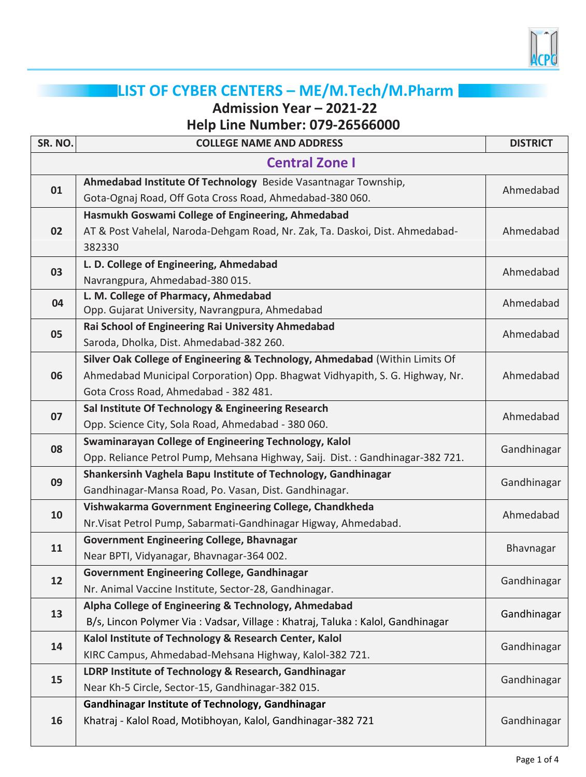

## **LIST OF CYBER CENTERS – ME/M.Tech/M.Pharm**

**Admission Year – 2021-22**

**Help Line Number: 079-26566000**

| SR. NO.               | <b>COLLEGE NAME AND ADDRESS</b>                                                                          | <b>DISTRICT</b> |  |  |
|-----------------------|----------------------------------------------------------------------------------------------------------|-----------------|--|--|
| <b>Central Zone I</b> |                                                                                                          |                 |  |  |
| 01                    | Ahmedabad Institute Of Technology Beside Vasantnagar Township,                                           | Ahmedabad       |  |  |
|                       | Gota-Ognaj Road, Off Gota Cross Road, Ahmedabad-380 060.                                                 |                 |  |  |
| 02                    | Hasmukh Goswami College of Engineering, Ahmedabad                                                        |                 |  |  |
|                       | AT & Post Vahelal, Naroda-Dehgam Road, Nr. Zak, Ta. Daskoi, Dist. Ahmedabad-                             | Ahmedabad       |  |  |
|                       | 382330                                                                                                   |                 |  |  |
| 03                    | L. D. College of Engineering, Ahmedabad                                                                  | Ahmedabad       |  |  |
|                       | Navrangpura, Ahmedabad-380 015.                                                                          |                 |  |  |
| 04                    | L. M. College of Pharmacy, Ahmedabad                                                                     | Ahmedabad       |  |  |
|                       | Opp. Gujarat University, Navrangpura, Ahmedabad                                                          |                 |  |  |
| 05                    | Rai School of Engineering Rai University Ahmedabad                                                       | Ahmedabad       |  |  |
|                       | Saroda, Dholka, Dist. Ahmedabad-382 260.                                                                 |                 |  |  |
|                       | Silver Oak College of Engineering & Technology, Ahmedabad (Within Limits Of                              |                 |  |  |
| 06                    | Ahmedabad Municipal Corporation) Opp. Bhagwat Vidhyapith, S. G. Highway, Nr.                             | Ahmedabad       |  |  |
|                       | Gota Cross Road, Ahmedabad - 382 481.                                                                    |                 |  |  |
| 07                    | Sal Institute Of Technology & Engineering Research<br>Opp. Science City, Sola Road, Ahmedabad - 380 060. | Ahmedabad       |  |  |
|                       | Swaminarayan College of Engineering Technology, Kalol                                                    |                 |  |  |
| 08                    | Opp. Reliance Petrol Pump, Mehsana Highway, Saij. Dist.: Gandhinagar-382 721.                            | Gandhinagar     |  |  |
|                       | Shankersinh Vaghela Bapu Institute of Technology, Gandhinagar                                            |                 |  |  |
| 09                    | Gandhinagar-Mansa Road, Po. Vasan, Dist. Gandhinagar.                                                    | Gandhinagar     |  |  |
|                       | Vishwakarma Government Engineering College, Chandkheda                                                   |                 |  |  |
| 10                    | Nr. Visat Petrol Pump, Sabarmati-Gandhinagar Higway, Ahmedabad.                                          | Ahmedabad       |  |  |
| 11                    | <b>Government Engineering College, Bhavnagar</b>                                                         |                 |  |  |
|                       | Near BPTI, Vidyanagar, Bhavnagar-364 002.                                                                | Bhavnagar       |  |  |
|                       | <b>Government Engineering College, Gandhinagar</b>                                                       | Gandhinagar     |  |  |
| 12                    | Nr. Animal Vaccine Institute, Sector-28, Gandhinagar.                                                    |                 |  |  |
|                       | Alpha College of Engineering & Technology, Ahmedabad                                                     |                 |  |  |
| 13                    | B/s, Lincon Polymer Via: Vadsar, Village: Khatraj, Taluka: Kalol, Gandhinagar                            | Gandhinagar     |  |  |
| 14                    | Kalol Institute of Technology & Research Center, Kalol                                                   | Gandhinagar     |  |  |
|                       | KIRC Campus, Ahmedabad-Mehsana Highway, Kalol-382 721.                                                   |                 |  |  |
| 15                    | LDRP Institute of Technology & Research, Gandhinagar                                                     | Gandhinagar     |  |  |
|                       | Near Kh-5 Circle, Sector-15, Gandhinagar-382 015.                                                        |                 |  |  |
| 16                    | Gandhinagar Institute of Technology, Gandhinagar                                                         |                 |  |  |
|                       | Khatraj - Kalol Road, Motibhoyan, Kalol, Gandhinagar-382 721                                             | Gandhinagar     |  |  |
|                       |                                                                                                          |                 |  |  |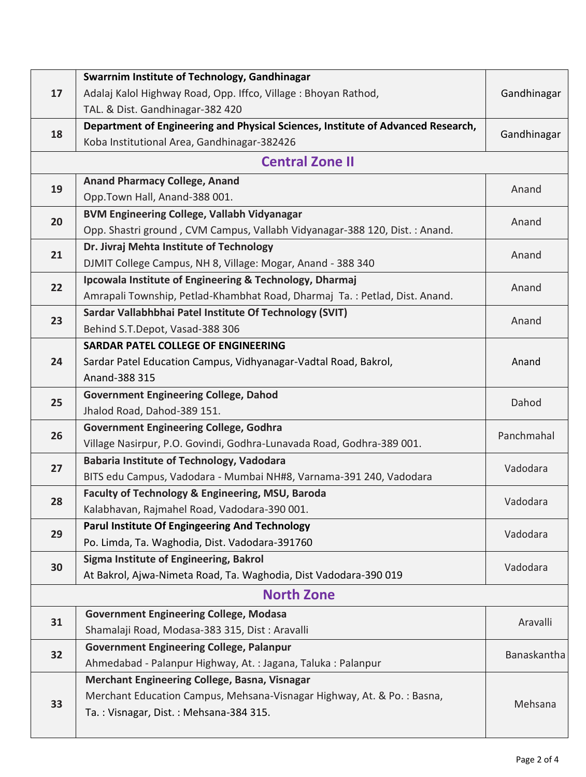| 17 | Swarrnim Institute of Technology, Gandhinagar                                    |             |  |  |
|----|----------------------------------------------------------------------------------|-------------|--|--|
|    | Adalaj Kalol Highway Road, Opp. Iffco, Village: Bhoyan Rathod,                   | Gandhinagar |  |  |
|    | TAL. & Dist. Gandhinagar-382 420                                                 |             |  |  |
| 18 | Department of Engineering and Physical Sciences, Institute of Advanced Research, | Gandhinagar |  |  |
|    | Koba Institutional Area, Gandhinagar-382426                                      |             |  |  |
|    | <b>Central Zone II</b>                                                           |             |  |  |
| 19 | <b>Anand Pharmacy College, Anand</b>                                             | Anand       |  |  |
|    | Opp.Town Hall, Anand-388 001.                                                    |             |  |  |
| 20 | <b>BVM Engineering College, Vallabh Vidyanagar</b>                               | Anand       |  |  |
|    | Opp. Shastri ground, CVM Campus, Vallabh Vidyanagar-388 120, Dist. : Anand.      |             |  |  |
| 21 | Dr. Jivraj Mehta Institute of Technology                                         | Anand       |  |  |
|    | DJMIT College Campus, NH 8, Village: Mogar, Anand - 388 340                      |             |  |  |
| 22 | Ipcowala Institute of Engineering & Technology, Dharmaj                          | Anand       |  |  |
|    | Amrapali Township, Petlad-Khambhat Road, Dharmaj Ta.: Petlad, Dist. Anand.       |             |  |  |
| 23 | Sardar Vallabhbhai Patel Institute Of Technology (SVIT)                          | Anand       |  |  |
|    | Behind S.T.Depot, Vasad-388 306                                                  |             |  |  |
|    | <b>SARDAR PATEL COLLEGE OF ENGINEERING</b>                                       |             |  |  |
| 24 | Sardar Patel Education Campus, Vidhyanagar-Vadtal Road, Bakrol,                  | Anand       |  |  |
|    | Anand-388 315                                                                    |             |  |  |
| 25 | <b>Government Engineering College, Dahod</b>                                     | Dahod       |  |  |
|    | Jhalod Road, Dahod-389 151.                                                      |             |  |  |
| 26 | <b>Government Engineering College, Godhra</b>                                    | Panchmahal  |  |  |
|    | Village Nasirpur, P.O. Govindi, Godhra-Lunavada Road, Godhra-389 001.            |             |  |  |
| 27 | <b>Babaria Institute of Technology, Vadodara</b>                                 | Vadodara    |  |  |
|    | BITS edu Campus, Vadodara - Mumbai NH#8, Varnama-391 240, Vadodara               |             |  |  |
| 28 | Faculty of Technology & Engineering, MSU, Baroda                                 | Vadodara    |  |  |
|    | Kalabhavan, Rajmahel Road, Vadodara-390 001.                                     |             |  |  |
| 29 | <b>Parul Institute Of Engingeering And Technology</b>                            | Vadodara    |  |  |
|    | Po. Limda, Ta. Waghodia, Dist. Vadodara-391760                                   |             |  |  |
| 30 | Sigma Institute of Engineering, Bakrol                                           | Vadodara    |  |  |
|    | At Bakrol, Ajwa-Nimeta Road, Ta. Waghodia, Dist Vadodara-390 019                 |             |  |  |
|    | <b>North Zone</b>                                                                |             |  |  |
| 31 | <b>Government Engineering College, Modasa</b>                                    | Aravalli    |  |  |
|    | Shamalaji Road, Modasa-383 315, Dist: Aravalli                                   |             |  |  |
| 32 | <b>Government Engineering College, Palanpur</b>                                  | Banaskantha |  |  |
|    | Ahmedabad - Palanpur Highway, At.: Jagana, Taluka: Palanpur                      |             |  |  |
| 33 | Merchant Engineering College, Basna, Visnagar                                    |             |  |  |
|    | Merchant Education Campus, Mehsana-Visnagar Highway, At. & Po.: Basna,           | Mehsana     |  |  |
|    | Ta.: Visnagar, Dist.: Mehsana-384 315.                                           |             |  |  |
|    |                                                                                  |             |  |  |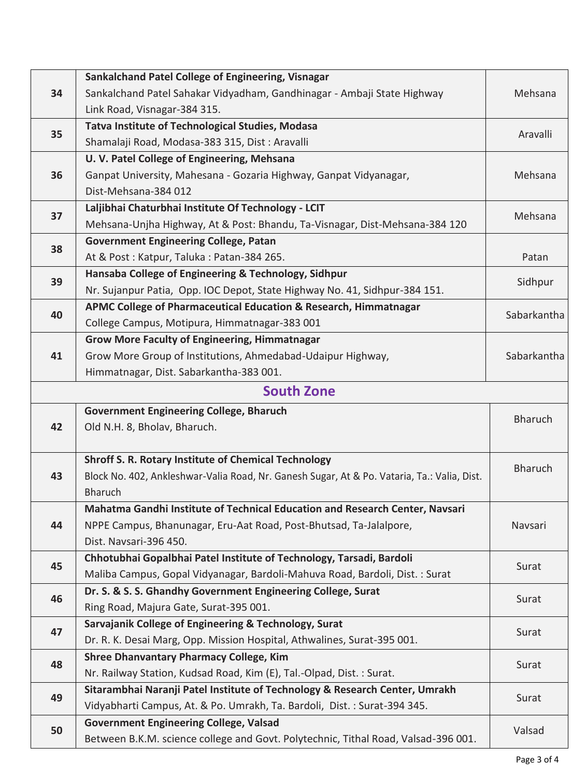| 34                | Sankalchand Patel College of Engineering, Visnagar                                          |                |  |  |
|-------------------|---------------------------------------------------------------------------------------------|----------------|--|--|
|                   | Sankalchand Patel Sahakar Vidyadham, Gandhinagar - Ambaji State Highway                     | Mehsana        |  |  |
|                   | Link Road, Visnagar-384 315.                                                                |                |  |  |
| 35                | <b>Tatva Institute of Technological Studies, Modasa</b>                                     | Aravalli       |  |  |
|                   | Shamalaji Road, Modasa-383 315, Dist: Aravalli                                              |                |  |  |
|                   | U. V. Patel College of Engineering, Mehsana                                                 |                |  |  |
| 36                | Ganpat University, Mahesana - Gozaria Highway, Ganpat Vidyanagar,                           | Mehsana        |  |  |
|                   | Dist-Mehsana-384 012                                                                        |                |  |  |
| 37                | Laljibhai Chaturbhai Institute Of Technology - LCIT                                         | Mehsana        |  |  |
|                   | Mehsana-Unjha Highway, At & Post: Bhandu, Ta-Visnagar, Dist-Mehsana-384 120                 |                |  |  |
| 38                | <b>Government Engineering College, Patan</b>                                                |                |  |  |
|                   | At & Post: Katpur, Taluka: Patan-384 265.                                                   | Patan          |  |  |
|                   | Hansaba College of Engineering & Technology, Sidhpur                                        | Sidhpur        |  |  |
| 39                | Nr. Sujanpur Patia, Opp. IOC Depot, State Highway No. 41, Sidhpur-384 151.                  |                |  |  |
|                   | APMC College of Pharmaceutical Education & Research, Himmatnagar                            | Sabarkantha    |  |  |
| 40                | College Campus, Motipura, Himmatnagar-383 001                                               |                |  |  |
|                   | <b>Grow More Faculty of Engineering, Himmatnagar</b>                                        |                |  |  |
| 41                | Grow More Group of Institutions, Ahmedabad-Udaipur Highway,                                 | Sabarkantha    |  |  |
|                   | Himmatnagar, Dist. Sabarkantha-383 001.                                                     |                |  |  |
| <b>South Zone</b> |                                                                                             |                |  |  |
|                   | <b>Government Engineering College, Bharuch</b>                                              | <b>Bharuch</b> |  |  |
| 42                | Old N.H. 8, Bholav, Bharuch.                                                                |                |  |  |
|                   | <b>Shroff S. R. Rotary Institute of Chemical Technology</b>                                 | <b>Bharuch</b> |  |  |
| 43                | Block No. 402, Ankleshwar-Valia Road, Nr. Ganesh Sugar, At & Po. Vataria, Ta.: Valia, Dist. |                |  |  |
|                   | <b>Bharuch</b>                                                                              |                |  |  |
|                   | Mahatma Gandhi Institute of Technical Education and Research Center, Navsari                | Navsari        |  |  |
| 44                | NPPE Campus, Bhanunagar, Eru-Aat Road, Post-Bhutsad, Ta-Jalalpore,                          |                |  |  |
|                   | Dist. Navsari-396 450.                                                                      |                |  |  |
| 45                | Chhotubhai Gopalbhai Patel Institute of Technology, Tarsadi, Bardoli                        |                |  |  |
|                   | Maliba Campus, Gopal Vidyanagar, Bardoli-Mahuva Road, Bardoli, Dist.: Surat                 | Surat          |  |  |
| 46                | Dr. S. & S. S. Ghandhy Government Engineering College, Surat                                | Surat          |  |  |
|                   | Ring Road, Majura Gate, Surat-395 001.                                                      |                |  |  |
| 47                | Sarvajanik College of Engineering & Technology, Surat                                       | Surat          |  |  |
|                   | Dr. R. K. Desai Marg, Opp. Mission Hospital, Athwalines, Surat-395 001.                     |                |  |  |
| 48                | <b>Shree Dhanvantary Pharmacy College, Kim</b>                                              | Surat          |  |  |
|                   | Nr. Railway Station, Kudsad Road, Kim (E), Tal.-Olpad, Dist.: Surat.                        |                |  |  |
| 49                | Sitarambhai Naranji Patel Institute of Technology & Research Center, Umrakh                 | Surat          |  |  |
|                   | Vidyabharti Campus, At. & Po. Umrakh, Ta. Bardoli, Dist.: Surat-394 345.                    |                |  |  |
| 50                | <b>Government Engineering College, Valsad</b>                                               | Valsad         |  |  |
|                   | Between B.K.M. science college and Govt. Polytechnic, Tithal Road, Valsad-396 001.          |                |  |  |